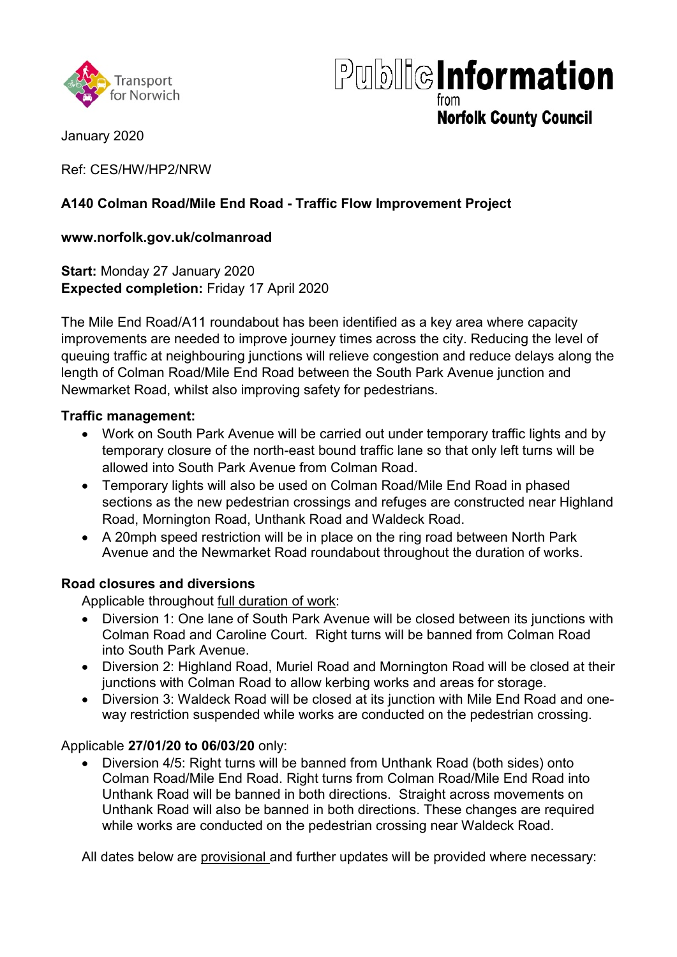



**Norfolk County Council** 

January 2020

Ref: CES/HW/HP2/NRW

# **A140 Colman Road/Mile End Road - Traffic Flow Improvement Project**

### **www.norfolk.gov.uk/colmanroad**

**Start:** Monday 27 January 2020 **Expected completion:** Friday 17 April 2020

The Mile End Road/A11 roundabout has been identified as a key area where capacity improvements are needed to improve journey times across the city. Reducing the level of queuing traffic at neighbouring junctions will relieve congestion and reduce delays along the length of Colman Road/Mile End Road between the South Park Avenue junction and Newmarket Road, whilst also improving safety for pedestrians.

#### **Traffic management:**

- Work on South Park Avenue will be carried out under temporary traffic lights and by temporary closure of the north-east bound traffic lane so that only left turns will be allowed into South Park Avenue from Colman Road.
- Temporary lights will also be used on Colman Road/Mile End Road in phased sections as the new pedestrian crossings and refuges are constructed near Highland Road, Mornington Road, Unthank Road and Waldeck Road.
- A 20mph speed restriction will be in place on the ring road between North Park Avenue and the Newmarket Road roundabout throughout the duration of works.

### **Road closures and diversions**

Applicable throughout full duration of work:

- Diversion 1: One lane of South Park Avenue will be closed between its junctions with Colman Road and Caroline Court. Right turns will be banned from Colman Road into South Park Avenue.
- Diversion 2: Highland Road, Muriel Road and Mornington Road will be closed at their junctions with Colman Road to allow kerbing works and areas for storage.
- Diversion 3: Waldeck Road will be closed at its junction with Mile End Road and oneway restriction suspended while works are conducted on the pedestrian crossing.

### Applicable **27/01/20 to 06/03/20** only:

• Diversion 4/5: Right turns will be banned from Unthank Road (both sides) onto Colman Road/Mile End Road. Right turns from Colman Road/Mile End Road into Unthank Road will be banned in both directions. Straight across movements on Unthank Road will also be banned in both directions. These changes are required while works are conducted on the pedestrian crossing near Waldeck Road.

All dates below are provisional and further updates will be provided where necessary: